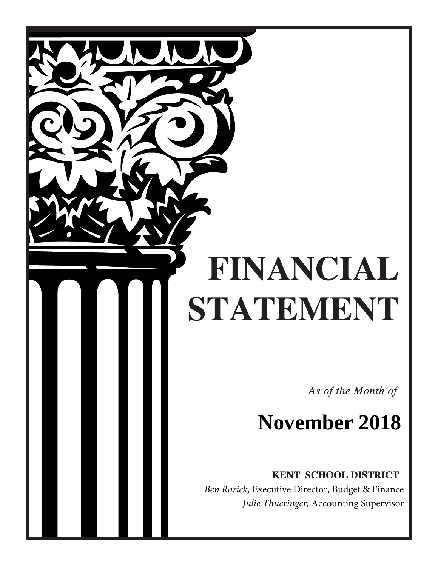# FINANCIAL STATEMENT

As of the Month of

## **November 2018**

KENT SCHOOL DISTRICT

 *Ben Rarick,* Executive Director, Budget & Finance *Julie Thueringer,* Accounting Supervisor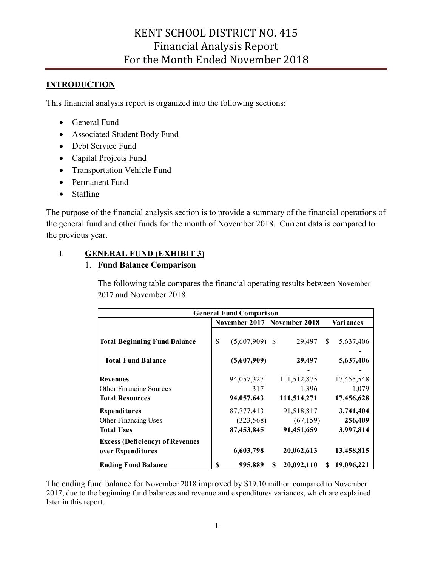#### **INTRODUCTION**

This financial analysis report is organized into the following sections:

- General Fund
- Associated Student Body Fund
- Debt Service Fund
- Capital Projects Fund
- Transportation Vehicle Fund
- Permanent Fund
- Staffing

 the general fund and other funds for the month of November 2018. Current data is compared to The purpose of the financial analysis section is to provide a summary of the financial operations of the previous year.

#### I. **GENERAL FUND (EXHIBIT 3)**

#### 1. **Fund Balance Comparison**

 The following table compares the financial operating results between November 2017 and November 2018.

|                                        | <b>General Fund Comparison</b> |                             |   |             |              |            |  |  |  |  |
|----------------------------------------|--------------------------------|-----------------------------|---|-------------|--------------|------------|--|--|--|--|
|                                        |                                | November 2017 November 2018 |   | Variances   |              |            |  |  |  |  |
| <b>Total Beginning Fund Balance</b>    | \$                             | $(5,607,909)$ \$            |   | 29,497      | <sup>S</sup> | 5,637,406  |  |  |  |  |
| <b>Total Fund Balance</b>              |                                | (5,607,909)                 |   | 29,497      |              | 5,637,406  |  |  |  |  |
| Revenues                               |                                | 94,057,327                  |   | 111,512,875 |              | 17,455,548 |  |  |  |  |
| <b>Other Financing Sources</b>         |                                | 317                         |   | 1,396       |              | 1,079      |  |  |  |  |
| <b>Total Resources</b>                 |                                | 94,057,643                  |   | 111,514,271 |              | 17,456,628 |  |  |  |  |
| <b>Expenditures</b>                    |                                | 87,777,413                  |   | 91,518,817  |              | 3,741,404  |  |  |  |  |
| Other Financing Uses                   |                                | (323, 568)                  |   | (67, 159)   |              | 256,409    |  |  |  |  |
| <b>Total Uses</b>                      |                                | 87,453,845                  |   | 91,451,659  |              | 3,997,814  |  |  |  |  |
| <b>Excess (Deficiency) of Revenues</b> |                                |                             |   |             |              |            |  |  |  |  |
| over Expenditures                      |                                | 6,603,798                   |   | 20,062,613  |              | 13,458,815 |  |  |  |  |
| <b>Ending Fund Balance</b>             | S                              | 995,889                     | S | 20,092,110  | S            | 19,096,221 |  |  |  |  |

 The ending fund balance for November 2018 improved by \$19.10 million compared to November 2017, due to the beginning fund balances and revenue and expenditures variances, which are explained later in this report.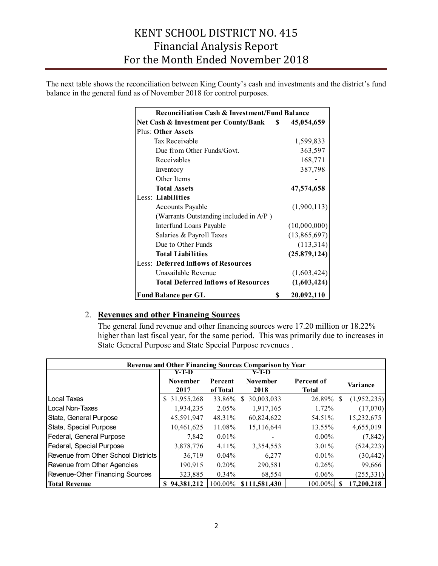The next table shows the reconciliation between King County's cash and investments and the district's fund balance in the general fund as of November 2018 for control purposes.

|                                            | <b>Reconciliation Cash &amp; Investment/Fund Balance</b> |              |  |  |  |  |  |
|--------------------------------------------|----------------------------------------------------------|--------------|--|--|--|--|--|
| Net Cash & Investment per County/Bank \$   |                                                          | 45,054,659   |  |  |  |  |  |
| <b>Plus: Other Assets</b>                  |                                                          |              |  |  |  |  |  |
| Tax Receivable                             |                                                          | 1,599,833    |  |  |  |  |  |
| Due from Other Funds/Govt.                 |                                                          | 363,597      |  |  |  |  |  |
| Receivables                                |                                                          | 168,771      |  |  |  |  |  |
| Inventory                                  |                                                          | 387,798      |  |  |  |  |  |
| Other Items                                |                                                          |              |  |  |  |  |  |
| <b>Total Assets</b>                        |                                                          | 47,574,658   |  |  |  |  |  |
| Less: Liabilities                          |                                                          |              |  |  |  |  |  |
| <b>Accounts Payable</b>                    |                                                          | (1,900,113)  |  |  |  |  |  |
| (Warrants Outstanding included in A/P)     |                                                          |              |  |  |  |  |  |
| Interfund Loans Payable                    |                                                          | (10,000,000) |  |  |  |  |  |
| Salaries & Payroll Taxes                   |                                                          | (13,865,697) |  |  |  |  |  |
| Due to Other Funds                         |                                                          | (113,314)    |  |  |  |  |  |
| <b>Total Liabilities</b>                   |                                                          | (25,879,124) |  |  |  |  |  |
| <b>Less: Deferred Inflows of Resources</b> |                                                          |              |  |  |  |  |  |
| Unavailable Revenue                        |                                                          | (1,603,424)  |  |  |  |  |  |
| <b>Total Deferred Inflows of Resources</b> |                                                          | (1,603,424)  |  |  |  |  |  |
| <b>Fund Balance per GL</b>                 | \$                                                       | 20,092,110   |  |  |  |  |  |

#### 2. **Revenues and other Financing Sources**

 The general fund revenue and other financing sources were 17.20 million or 18.22% higher than last fiscal year, for the same period. This was primarily due to increases in State General Purpose and State Special Purpose revenues .

|                                     | Revenue and Other Financing Sources Comparison by Year |          |                       |              |                    |  |  |  |  |  |
|-------------------------------------|--------------------------------------------------------|----------|-----------------------|--------------|--------------------|--|--|--|--|--|
|                                     | Y-T-D                                                  |          | Y-T-D                 |              |                    |  |  |  |  |  |
|                                     | <b>November</b>                                        | Percent  | <b>November</b>       | Percent of   | Variance           |  |  |  |  |  |
|                                     | 2017                                                   | of Total | 2018                  | <b>Total</b> |                    |  |  |  |  |  |
| <b>ILocal Taxes</b>                 | \$31,955,268                                           | 33.86%   | 30,003,033<br>S.      | 26.89%       | (1,952,235)<br>-S  |  |  |  |  |  |
| ILocal Non-Taxes                    | 1,934,235                                              | 2.05%    | 1,917,165             | 1.72%        | (17,070)           |  |  |  |  |  |
| State, General Purpose              | 45,591,947                                             | 48.31%   | 60,824,622            | 54.51%       | 15,232,675         |  |  |  |  |  |
| State, Special Purpose              | 10,461,625                                             | 11.08%   | 15,116,644            | 13.55%       | 4,655,019          |  |  |  |  |  |
| Federal, General Purpose            | 7,842                                                  | $0.01\%$ |                       | $0.00\%$     | (7, 842)           |  |  |  |  |  |
| Federal, Special Purpose            | 3,878,776                                              | $4.11\%$ | 3,354,553             | 3.01%        | (524, 223)         |  |  |  |  |  |
| Revenue from Other School Districts | 36.719                                                 | $0.04\%$ | 6,277                 | 0.01%        | (30, 442)          |  |  |  |  |  |
| Revenue from Other Agencies         | 190,915                                                | 0.20%    | 290,581               | 0.26%        | 99,666             |  |  |  |  |  |
| Revenue-Other Financing Sources     | 323,885                                                | $0.34\%$ | 68,554                | $0.06\%$     | (255, 331)         |  |  |  |  |  |
| <b>Total Revenue</b>                | \$94,381,212                                           |          | 100.00% \$111,581,430 | 100.00%      | 17,200,218<br>- \$ |  |  |  |  |  |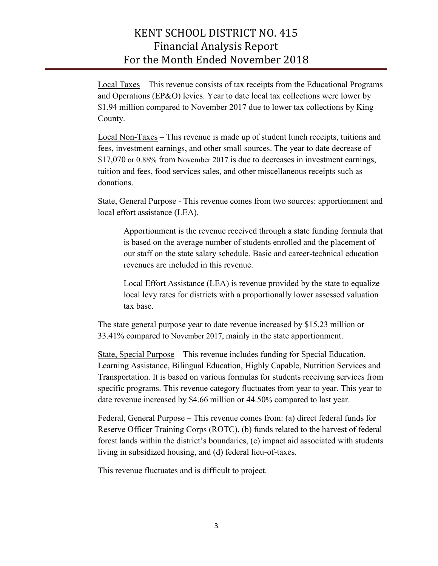Local Taxes – This revenue consists of tax receipts from the Educational Programs \$1.94 million compared to November 2017 due to lower tax collections by King and Operations (EP&O) levies. Year to date local tax collections were lower by County.

 Local Non-Taxes – This revenue is made up of student lunch receipts, tuitions and \$17,070 or 0.88% from November 2017 is due to decreases in investment earnings, fees, investment earnings, and other small sources. The year to date decrease of tuition and fees, food services sales, and other miscellaneous receipts such as donations.

State, General Purpose - This revenue comes from two sources: apportionment and local effort assistance (LEA).

 Apportionment is the revenue received through a state funding formula that is based on the average number of students enrolled and the placement of our staff on the state salary schedule. Basic and career-technical education revenues are included in this revenue.

Local Effort Assistance (LEA) is revenue provided by the state to equalize local levy rates for districts with a proportionally lower assessed valuation tax base.

 33.41% compared to November 2017, mainly in the state apportionment. The state general purpose year to date revenue increased by \$15.23 million or

 State, Special Purpose – This revenue includes funding for Special Education, specific programs. This revenue category fluctuates from year to year. This year to date revenue increased by \$4.66 million or 44.50% compared to last year. Learning Assistance, Bilingual Education, Highly Capable, Nutrition Services and Transportation. It is based on various formulas for students receiving services from

 Federal, General Purpose – This revenue comes from: (a) direct federal funds for forest lands within the district's boundaries, (c) impact aid associated with students Reserve Officer Training Corps (ROTC), (b) funds related to the harvest of federal living in subsidized housing, and (d) federal lieu-of-taxes.

This revenue fluctuates and is difficult to project.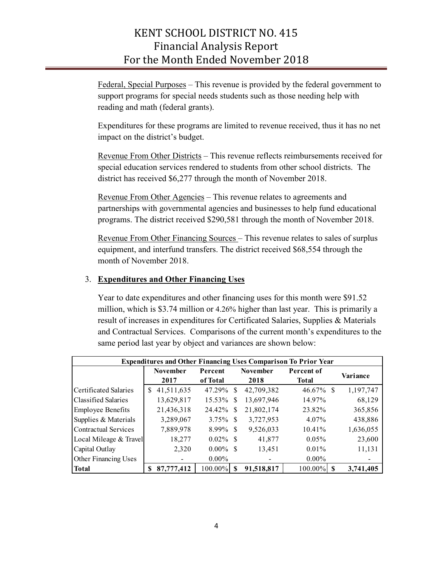Federal, Special Purposes – This revenue is provided by the federal government to support programs for special needs students such as those needing help with reading and math (federal grants).

Expenditures for these programs are limited to revenue received, thus it has no net impact on the district's budget.

Revenue From Other Districts – This revenue reflects reimbursements received for special education services rendered to students from other school districts. The district has received \$6,277 through the month of November 2018.

Revenue From Other Agencies – This revenue relates to agreements and programs. The district received \$290,581 through the month of November 2018. partnerships with governmental agencies and businesses to help fund educational

 equipment, and interfund transfers. The district received \$68,554 through the month of November 2018. Revenue From Other Financing Sources – This revenue relates to sales of surplus

#### 3. **Expenditures and Other Financing Uses**

 Year to date expenditures and other financing uses for this month were \$91.52 million, which is \$3.74 million or 4.26% higher than last year. This is primarily a result of increases in expenditures for Certificated Salaries, Supplies & Materials same period last year by object and variances are shown below: and Contractual Services. Comparisons of the current month's expenditures to the

|                          |   |                         |                     |     |                         | <b>Expenditures and Other Financing Uses Comparison To Prior Year</b> |           |
|--------------------------|---|-------------------------|---------------------|-----|-------------------------|-----------------------------------------------------------------------|-----------|
|                          |   | <b>November</b><br>2017 | Percent<br>of Total |     | <b>November</b><br>2018 | Percent of<br>Total                                                   | Variance  |
| Certificated Salaries    | S | 41,511,635              | 47.29%              | -S  | 42,709,382              | $46.67\%$ \$                                                          | 1,197,747 |
| Classified Salaries      |   | 13,629,817              | 15.53%              | S   | 13,697,946              | 14.97%                                                                | 68,129    |
| <b>Employee Benefits</b> |   | 21,436,318              | 24.42%              | S   | 21,802,174              | 23.82%                                                                | 365,856   |
| Supplies & Materials     |   | 3,289,067               | 3.75%               | -\$ | 3,727,953               | 4.07%                                                                 | 438,886   |
| Contractual Services     |   | 7,889,978               | 8.99%               | -S  | 9,526,033               | $10.41\%$                                                             | 1,636,055 |
| Local Mileage & Travel   |   | 18,277                  | $0.02\%$            | -8  | 41,877                  | $0.05\%$                                                              | 23,600    |
| Capital Outlay           |   | 2,320                   | $0.00\%$            | -\$ | 13,451                  | $0.01\%$                                                              | 11,131    |
| Other Financing Uses     |   |                         | $0.00\%$            |     |                         | $0.00\%$                                                              |           |
| <b>Total</b>             |   | 87,777,412              | 100.00%             | \$  | 91,518,817              | 100.00%<br>S                                                          | 3,741,405 |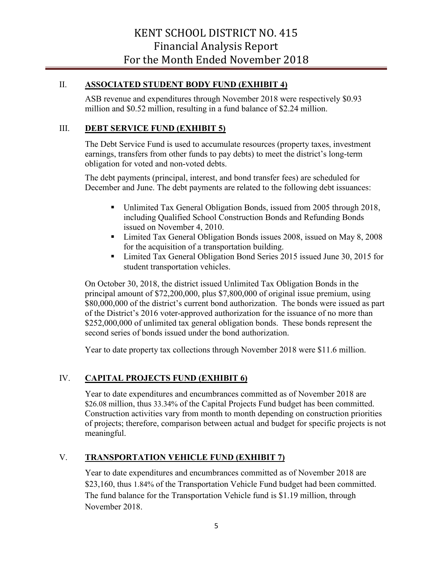#### II. **ASSOCIATED STUDENT BODY FUND (EXHIBIT 4)**

 ASB revenue and expenditures through November 2018 were respectively \$0.93 million and \$0.52 million, resulting in a fund balance of \$2.24 million.

#### III. **DEBT SERVICE FUND (EXHIBIT 5)**

The Debt Service Fund is used to accumulate resources (property taxes, investment earnings, transfers from other funds to pay debts) to meet the district's long-term obligation for voted and non-voted debts.

The debt payments (principal, interest, and bond transfer fees) are scheduled for December and June. The debt payments are related to the following debt issuances:

- Unlimited Tax General Obligation Bonds, issued from 2005 through 2018, including Qualified School Construction Bonds and Refunding Bonds issued on November 4, 2010.
- Limited Tax General Obligation Bonds issues 2008, issued on May 8, 2008 for the acquisition of a transportation building.
- Limited Tax General Obligation Bond Series 2015 issued June 30, 2015 for student transportation vehicles.

second series of bonds issued under the bond authorization. On October 30, 2018, the district issued Unlimited Tax Obligation Bonds in the principal amount of \$72,200,000, plus \$7,800,000 of original issue premium, using \$80,000,000 of the district's current bond authorization. The bonds were issued as part of the District's 2016 voter-approved authorization for the issuance of no more than \$252,000,000 of unlimited tax general obligation bonds. These bonds represent the

second series of bonds issued under the bond authorization. Year to date property tax collections through November 2018 were \$11.6 million.

#### IV. **CAPITAL PROJECTS FUND (EXHIBIT 6)**

 Year to date expenditures and encumbrances committed as of November 2018 are \$26.08 million, thus 33.34% of the Capital Projects Fund budget has been committed. of projects; therefore, comparison between actual and budget for specific projects is not meaningful. Construction activities vary from month to month depending on construction priorities

#### V. **TRANSPORTATION VEHICLE FUND (EXHIBIT 7)**

 Year to date expenditures and encumbrances committed as of November 2018 are \$23,160, thus 1.84% of the Transportation Vehicle Fund budget had been committed. November 2018. The fund balance for the Transportation Vehicle fund is \$1.19 million, through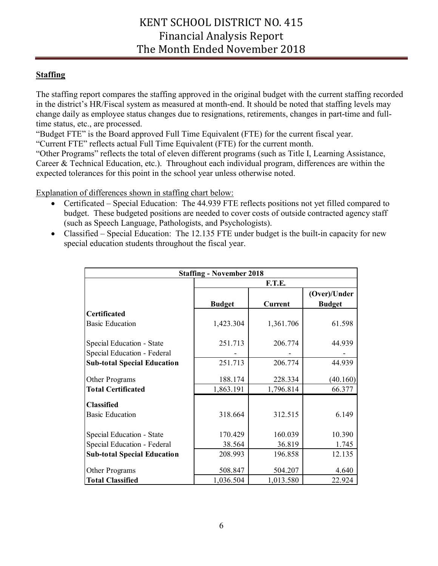#### **Staffing**

 change daily as employee status changes due to resignations, retirements, changes in part-time and full-The staffing report compares the staffing approved in the original budget with the current staffing recorded in the district's HR/Fiscal system as measured at month-end. It should be noted that staffing levels may time status, etc., are processed.

"Budget FTE" is the Board approved Full Time Equivalent (FTE) for the current fiscal year.

"Current FTE" reflects actual Full Time Equivalent (FTE) for the current month.

"Other Programs" reflects the total of eleven different programs (such as Title I, Learning Assistance, Career & Technical Education, etc.). Throughout each individual program, differences are within the expected tolerances for this point in the school year unless otherwise noted.

Explanation of differences shown in staffing chart below:

- • Certificated Special Education: The 44.939 FTE reflects positions not yet filled compared to budget. These budgeted positions are needed to cover costs of outside contracted agency staff (such as Speech Language, Pathologists, and Psychologists).
- • Classified Special Education: The 12.135 FTE under budget is the built-in capacity for new special education students throughout the fiscal year.

| <b>Staffing - November 2018</b>    |               |                |                               |  |  |  |  |  |  |
|------------------------------------|---------------|----------------|-------------------------------|--|--|--|--|--|--|
|                                    | F.T.E.        |                |                               |  |  |  |  |  |  |
|                                    | <b>Budget</b> | <b>Current</b> | (Over)/Under<br><b>Budget</b> |  |  |  |  |  |  |
| <b>Certificated</b>                |               |                |                               |  |  |  |  |  |  |
| <b>Basic Education</b>             | 1,423.304     | 1,361.706      | 61.598                        |  |  |  |  |  |  |
| Special Education - State          | 251.713       | 206.774        | 44.939                        |  |  |  |  |  |  |
| Special Education - Federal        |               |                |                               |  |  |  |  |  |  |
| <b>Sub-total Special Education</b> | 251.713       | 206.774        | 44.939                        |  |  |  |  |  |  |
| Other Programs                     | 188.174       | 228.334        | (40.160)                      |  |  |  |  |  |  |
| <b>Total Certificated</b>          | 1,863.191     | 1,796.814      | 66.377                        |  |  |  |  |  |  |
| <b>Classified</b>                  |               |                |                               |  |  |  |  |  |  |
| <b>Basic Education</b>             | 318.664       | 312.515        | 6.149                         |  |  |  |  |  |  |
| Special Education - State          | 170.429       | 160.039        | 10.390                        |  |  |  |  |  |  |
| Special Education - Federal        | 38.564        | 36.819         | 1.745                         |  |  |  |  |  |  |
| <b>Sub-total Special Education</b> | 208.993       | 196.858        | 12.135                        |  |  |  |  |  |  |
| Other Programs                     | 508.847       | 504.207        | 4.640                         |  |  |  |  |  |  |
| <b>Total Classified</b>            | 1,036.504     | 1,013.580      | 22.924                        |  |  |  |  |  |  |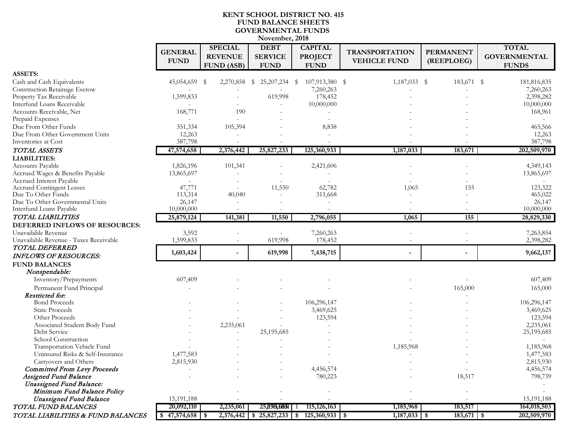#### **KENT SCHOOL DISTRICT NO. 415 FUND BALANCE SHEETS GOVERNMENTAL FUNDS November, 2018**

|                                                        | <b>GENERAL</b><br><b>FUND</b> | <b>SPECIAL</b><br><b>REVENUE</b><br><b>FUND (ASB)</b> | <b>DEBT</b><br><b>SERVICE</b><br><b>FUND</b> | <b>CAPITAL</b><br><b>PROJECT</b><br><b>FUND</b> | <b>TRANSPORTATION</b><br><b>VEHICLE FUND</b> | <b>PERMANENT</b><br>(REEPLOEG) | <b>TOTAL</b><br><b>GOVERNMENTAL</b><br><b>FUNDS</b> |
|--------------------------------------------------------|-------------------------------|-------------------------------------------------------|----------------------------------------------|-------------------------------------------------|----------------------------------------------|--------------------------------|-----------------------------------------------------|
| <b>ASSETS:</b>                                         |                               |                                                       |                                              |                                                 |                                              |                                |                                                     |
| Cash and Cash Equivalents                              | 45,054,659 \$                 |                                                       | 2,270,858 \$ 25,207,234 \$                   | 107,913,380 \$                                  | $1,187,033$ \$                               | 183,671 \$                     | 181,816,835                                         |
| Construction Retainage Escrow                          |                               |                                                       |                                              | 7,260,263                                       |                                              |                                | 7,260,263                                           |
| Property Tax Receivable                                | 1,599,833                     |                                                       | 619,998                                      | 178,452                                         |                                              |                                | 2,398,282                                           |
| Interfund Loans Receivable                             |                               |                                                       |                                              | 10,000,000                                      |                                              |                                | 10,000,000                                          |
| Accounts Receivable, Net                               | 168,771                       | 190                                                   |                                              |                                                 |                                              |                                | 168,961                                             |
| Prepaid Expenses                                       | $\overline{a}$                |                                                       |                                              |                                                 |                                              |                                |                                                     |
| Due From Other Funds                                   | 351,334                       | 105,394                                               |                                              | 8,838                                           |                                              |                                | 465,566                                             |
| Due From Other Government Units                        | 12,263                        |                                                       |                                              |                                                 |                                              |                                | 12,263                                              |
| Inventories at Cost                                    | 387,798                       |                                                       |                                              |                                                 |                                              |                                | 387,798                                             |
| TOTAL ASSETS                                           | 47,574,658                    | 2,376,442                                             | 25,827,233                                   | 125,360,933                                     | 1,187,033                                    | 183,671                        | 202,509,970                                         |
|                                                        |                               |                                                       |                                              |                                                 |                                              |                                |                                                     |
| <b>LIABILITIES:</b>                                    |                               |                                                       |                                              |                                                 |                                              |                                |                                                     |
| Accounts Payable                                       | 1,826,196                     | 101,341                                               |                                              | 2,421,606                                       |                                              |                                | 4,349,143                                           |
| Accrued Wages & Benefits Payable                       | 13,865,697                    |                                                       |                                              |                                                 |                                              |                                | 13,865,697                                          |
| Accrued Interest Payable                               | $\overline{\phantom{a}}$      |                                                       |                                              |                                                 |                                              |                                |                                                     |
| <b>Accrued Contingent Losses</b><br>Due To Other Funds | 47,771                        |                                                       | 11,550                                       | 62,782                                          | 1,065                                        | 155                            | 123,322<br>465,022                                  |
| Due To Other Governmental Units                        | 113,314<br>26,147             | 40,040                                                |                                              | 311,668                                         |                                              |                                | 26,147                                              |
| Interfund Loans Payable                                | 10,000,000                    |                                                       |                                              |                                                 |                                              |                                | 10,000,000                                          |
| TOTAL LIABILITIES                                      |                               |                                                       |                                              |                                                 |                                              |                                |                                                     |
|                                                        | 25,879,124                    | 141,381                                               | 11,550                                       | 2,796,055                                       | 1,065                                        | 155                            | 28,829,330                                          |
| DEFERRED INFLOWS OF RESOURCES:                         |                               |                                                       |                                              |                                                 |                                              |                                |                                                     |
| Unavailable Revenue                                    | 3,592                         |                                                       |                                              | 7,260,263                                       |                                              |                                | 7,263,854                                           |
| Unavailable Revenue - Taxes Receivable                 | 1,599,833                     |                                                       | 619,998                                      | 178,452                                         |                                              |                                | 2,398,282                                           |
| TOTAL DEFERRED                                         | 1,603,424                     |                                                       | 619,998                                      | 7,438,715                                       |                                              |                                | 9,662,137                                           |
| <b>INFLOWS OF RESOURCES:</b>                           |                               |                                                       |                                              |                                                 |                                              |                                |                                                     |
| <b>FUND BALANCES</b>                                   |                               |                                                       |                                              |                                                 |                                              |                                |                                                     |
| Nonspendable:                                          |                               |                                                       |                                              |                                                 |                                              |                                |                                                     |
| Inventory/Prepayments                                  | 607,409                       |                                                       |                                              |                                                 |                                              |                                | 607,409                                             |
| Permanent Fund Principal                               |                               |                                                       |                                              |                                                 |                                              | 165,000                        | 165,000                                             |
| Restricted for:                                        |                               |                                                       |                                              |                                                 |                                              |                                |                                                     |
| <b>Bond Proceeds</b>                                   |                               |                                                       |                                              | 106,296,147                                     |                                              |                                | 106,296,147                                         |
| <b>State Proceeds</b>                                  |                               |                                                       |                                              | 3,469,625                                       |                                              |                                | 3,469,625                                           |
| Other Proceeds                                         |                               |                                                       |                                              | 123,594                                         |                                              |                                | 123,594                                             |
| Associated Student Body Fund                           |                               | 2,235,061                                             |                                              |                                                 |                                              |                                | 2,235,061                                           |
| Debt Service                                           |                               |                                                       | 25,195,685                                   |                                                 |                                              |                                | 25,195,685                                          |
| School Construction                                    |                               |                                                       |                                              |                                                 |                                              |                                |                                                     |
| Transportation Vehicle Fund                            |                               |                                                       |                                              |                                                 | 1,185,968                                    |                                | 1,185,968                                           |
| Uninsured Risks & Self-Insurance                       | 1,477,583                     |                                                       |                                              |                                                 |                                              |                                | 1,477,583                                           |
| Carryovers and Others                                  | 2,815,930                     |                                                       |                                              |                                                 |                                              |                                | 2,815,930                                           |
| <b>Committed From Levy Proceeds</b>                    |                               |                                                       |                                              | 4,456,574                                       |                                              |                                | 4,456,574                                           |
| <b>Assigned Fund Balance</b>                           |                               |                                                       |                                              | 780,223                                         |                                              | 18,517                         | 798,739                                             |
| <b>Unassigned Fund Balance:</b>                        |                               |                                                       |                                              |                                                 |                                              |                                |                                                     |
| Minimum Fund Balance Policy                            |                               |                                                       |                                              |                                                 |                                              |                                |                                                     |
| <b>Unassigned Fund Balance</b>                         | 15,191,188                    |                                                       |                                              |                                                 |                                              |                                | 15,191,188                                          |
| TOTAL FUND BALANCES                                    | 20,092,110                    | 2,235,061                                             | 25, H985, 6851                               | 115, 126, 163                                   | 1,185,968                                    | 183,517                        | 164,018,503                                         |
| TOTAL LIABILITIES & FUND BALANCES                      | $$47,574,658$ \ \$            | 2,376,442                                             | \$25,827,233                                 | $125,360,933$ \$<br>\$                          | $1,187,033$ \$                               | $183,671$ \$                   | 202,509,970                                         |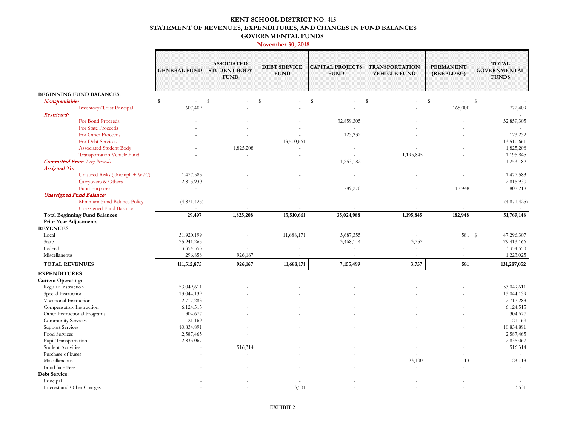#### **KENT SCHOOL DISTRICT NO. 415 STATEMENT OF REVENUES, EXPENDITURES, AND CHANGES IN FUND BALANCES GOVERNMENTAL FUNDS**

#### **November 30, 2018**

|                                                                      | <b>GENERAL FUND</b>      | <b>ASSOCIATED</b><br><b>STUDENT BODY</b><br><b>FUND</b> | <b>DEBT SERVICE</b><br><b>FUND</b> | <b>CAPITAL PROJECTS</b><br><b>FUND</b> | <b>TRANSPORTATION</b><br><b>VEHICLE FUND</b> | <b>PERMANENT</b><br>(REEPLOEG)           | <b>TOTAL</b><br><b>GOVERNMENTAL</b><br><b>FUNDS</b> |
|----------------------------------------------------------------------|--------------------------|---------------------------------------------------------|------------------------------------|----------------------------------------|----------------------------------------------|------------------------------------------|-----------------------------------------------------|
| <b>BEGINNING FUND BALANCES:</b>                                      |                          |                                                         |                                    |                                        |                                              |                                          |                                                     |
| Nonspendable:                                                        | $\$$<br>$\bar{a}$        | $\mathbb{S}$                                            | ${\mathbb S}$                      | $\mathbb S$                            | $\mathbb S$                                  | $\mathbb{S}$<br>$\overline{\phantom{a}}$ | s                                                   |
| Inventory/Trust Principal                                            | 607,409                  |                                                         |                                    |                                        |                                              | 165,000                                  | 772,409                                             |
| Restricted:                                                          |                          |                                                         |                                    |                                        |                                              |                                          |                                                     |
| For Bond Proceeds                                                    |                          |                                                         |                                    | 32,859,305                             |                                              |                                          | 32,859,305                                          |
| For State Proceeds                                                   |                          |                                                         |                                    |                                        |                                              |                                          |                                                     |
| For Other Proceeds                                                   |                          |                                                         |                                    | 123,232                                |                                              |                                          | 123,232                                             |
| <b>For Debt Services</b>                                             |                          |                                                         | 13,510,661                         |                                        |                                              |                                          | 13,510,661                                          |
| <b>Associated Student Body</b><br><b>Transportation Vehicle Fund</b> |                          | 1,825,208                                               |                                    |                                        |                                              |                                          | 1,825,208                                           |
|                                                                      |                          |                                                         |                                    | 1,253,182                              | 1,195,845                                    |                                          | 1,195,845                                           |
| <b>Committed From</b> Levy Proceeds<br><b>Assigned To:</b>           |                          |                                                         |                                    |                                        |                                              |                                          | 1,253,182                                           |
| Unisured Risks (Unempl. + W/C)                                       | 1,477,583                |                                                         |                                    | $\overline{\phantom{a}}$               |                                              |                                          | 1,477,583                                           |
| Carryovers & Others                                                  | 2,815,930                |                                                         |                                    | ÷                                      |                                              |                                          | 2,815,930                                           |
| <b>Fund Purposes</b>                                                 | $\mathcal{L}$            |                                                         |                                    | 789,270                                |                                              | 17,948                                   | 807,218                                             |
| <b>Unassigned Fund Balance:</b>                                      |                          |                                                         |                                    |                                        |                                              |                                          |                                                     |
| Minimum Fund Balance Policy                                          | (4,871,425)              |                                                         |                                    | $\overline{\phantom{a}}$               |                                              |                                          | (4,871,425)                                         |
| Unassigned Fund Balance                                              |                          |                                                         |                                    |                                        |                                              |                                          |                                                     |
| <b>Total Beginning Fund Balances</b>                                 | 29,497                   | 1,825,208                                               | 13,510,661                         | 35,024,988                             | 1,195,845                                    | 182,948                                  | 51,769,148                                          |
| <b>Prior Year Adjustments</b>                                        | $\overline{\phantom{a}}$ | $\sim$                                                  | ×.                                 | $\sim$                                 | $\overline{\phantom{a}}$                     | $\sim$                                   |                                                     |
| <b>REVENUES</b>                                                      |                          |                                                         |                                    |                                        |                                              |                                          |                                                     |
| Local                                                                | 31,920,199               |                                                         | 11,688,171                         | 3,687,355                              | $\sim$                                       | 581 \$                                   | 47,296,307                                          |
| State                                                                | 75,941,265               |                                                         |                                    | 3,468,144                              | 3,757                                        |                                          | 79,413,166                                          |
| Federal                                                              | 3,354,553                |                                                         |                                    | ä,                                     | $\sim$                                       |                                          | 3,354,553                                           |
| Miscellaneous                                                        | 296,858                  | 926,167                                                 |                                    |                                        |                                              |                                          | 1,223,025                                           |
| <b>TOTAL REVENUES</b>                                                | 111,512,875              | 926,167                                                 | 11,688,171                         | 7,155,499                              | 3,757                                        | 581                                      | 131,287,052                                         |
| <b>EXPENDITURES</b>                                                  |                          |                                                         |                                    |                                        |                                              |                                          |                                                     |
| <b>Current Operating:</b>                                            |                          |                                                         |                                    |                                        |                                              |                                          |                                                     |
| Regular Instruction                                                  | 53,049,611               |                                                         |                                    |                                        |                                              |                                          | 53,049,611                                          |
| Special Instruction                                                  | 13,044,139               |                                                         |                                    |                                        |                                              |                                          | 13,044,139                                          |
| Vocational Instruction                                               | 2,717,283                |                                                         |                                    |                                        |                                              |                                          | 2,717,283                                           |
| Compensatory Instruction                                             | 6,124,515                |                                                         |                                    |                                        |                                              |                                          | 6,124,515                                           |
| Other Instructional Programs                                         | 304,677                  |                                                         |                                    |                                        |                                              |                                          | 304,677                                             |
| Community Services                                                   | 21,169                   |                                                         |                                    |                                        |                                              |                                          | 21,169                                              |
| <b>Support Services</b>                                              | 10,834,891               |                                                         |                                    |                                        |                                              |                                          | 10,834,891                                          |
| Food Services                                                        | 2,587,465                |                                                         |                                    |                                        |                                              |                                          | 2,587,465                                           |
| Pupil Transportation                                                 | 2,835,067                |                                                         |                                    |                                        |                                              |                                          | 2,835,067                                           |
| <b>Student Activities</b>                                            |                          | 516,314                                                 |                                    |                                        |                                              |                                          | 516,314                                             |
| Purchase of buses                                                    |                          |                                                         |                                    |                                        |                                              |                                          |                                                     |
| Miscellaneous                                                        |                          |                                                         |                                    |                                        | 23,100                                       | 13                                       | 23,113                                              |
| <b>Bond Sale Fees</b>                                                |                          |                                                         |                                    |                                        |                                              |                                          |                                                     |
| Debt Service:                                                        |                          |                                                         |                                    |                                        |                                              |                                          |                                                     |
| Principal                                                            |                          |                                                         |                                    |                                        |                                              |                                          |                                                     |
| Interest and Other Charges                                           |                          |                                                         | 3,531                              |                                        |                                              |                                          | 3,531                                               |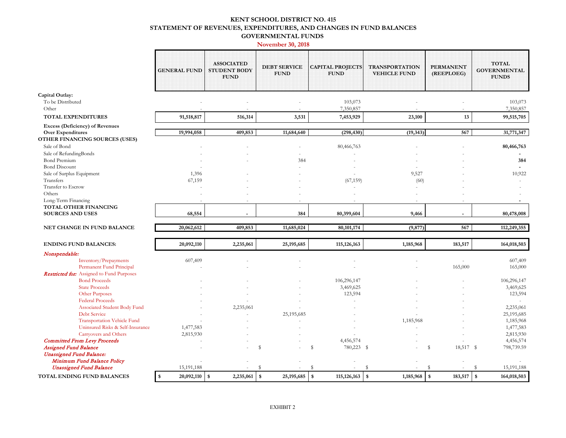#### **KENT SCHOOL DISTRICT NO. 415 STATEMENT OF REVENUES, EXPENDITURES, AND CHANGES IN FUND BALANCES GOVERNMENTAL FUNDS**

#### **November 30, 2018**

|                                                                                                      | <b>GENERAL FUND</b> | <b>ASSOCIATED</b><br><b>STUDENT BODY</b><br><b>FUND</b> | <b>DEBT SERVICE</b><br><b>FUND</b> | <b>CAPITAL PROJECTS</b><br><b>FUND</b> | <b>TRANSPORTATION</b><br><b>VEHICLE FUND</b> | <b>PERMANENT</b><br>(REEPLOEG) | <b>TOTAL</b><br><b>GOVERNMENTAL</b><br><b>FUNDS</b> |
|------------------------------------------------------------------------------------------------------|---------------------|---------------------------------------------------------|------------------------------------|----------------------------------------|----------------------------------------------|--------------------------------|-----------------------------------------------------|
| Capital Outlay:                                                                                      |                     |                                                         |                                    |                                        |                                              |                                |                                                     |
| To be Distributed                                                                                    |                     |                                                         |                                    | 103,073                                |                                              |                                | 103,073                                             |
| Other                                                                                                |                     |                                                         |                                    | 7,350,857                              |                                              |                                | 7,350,857                                           |
| <b>TOTAL EXPENDITURES</b>                                                                            | 91,518,817          | 516,314                                                 | 3,531                              | 7,453,929                              | 23,100                                       | 13                             | 99,515,705                                          |
| <b>Excess (Deficiency) of Revenues</b><br><b>Over Expenditures</b><br>OTHER FINANCING SOURCES (USES) | 19,994,058          | 409,853                                                 | 11,684,640                         | (298, 430)                             | (19, 343)                                    | 567                            | 31,771,347                                          |
| Sale of Bond                                                                                         |                     |                                                         |                                    | 80,466,763                             |                                              |                                | 80,466,763                                          |
| Sale of RefundingBonds                                                                               |                     |                                                         |                                    |                                        |                                              |                                |                                                     |
| Bond Premium                                                                                         |                     |                                                         | 384                                |                                        |                                              |                                | 384                                                 |
| <b>Bond Discount</b>                                                                                 |                     |                                                         |                                    |                                        |                                              |                                |                                                     |
| Sale of Surplus Equipment                                                                            | 1,396               |                                                         |                                    |                                        | 9,527                                        |                                | 10,922                                              |
| Transfers                                                                                            | 67,159              |                                                         |                                    | (67, 159)                              | (60)                                         |                                |                                                     |
| Transfer to Escrow                                                                                   |                     |                                                         |                                    |                                        |                                              |                                |                                                     |
| Others                                                                                               |                     |                                                         |                                    |                                        |                                              |                                |                                                     |
| Long-Term Financing                                                                                  |                     |                                                         |                                    |                                        |                                              |                                |                                                     |
| TOTAL OTHER FINANCING                                                                                |                     |                                                         |                                    |                                        |                                              |                                |                                                     |
| <b>SOURCES AND USES</b>                                                                              | 68,554              |                                                         | 384                                | 80,399,604                             | 9,466                                        |                                | 80,478,008                                          |
| NET CHANGE IN FUND BALANCE                                                                           | 20,062,612          | 409,853                                                 | 11,685,024                         | 80,101,174                             | (9, 877)                                     | 567                            | 112,249,355                                         |
| <b>ENDING FUND BALANCES:</b>                                                                         | 20,092,110          | 2,235,061                                               | 25, 195, 685                       | 115, 126, 163                          | 1,185,968                                    | 183,517                        | 164,018,503                                         |
| Nonspendable:                                                                                        |                     |                                                         |                                    |                                        |                                              |                                |                                                     |
| Inventory/Prepayments<br>Permanent Fund Principal                                                    | 607,409             |                                                         |                                    |                                        |                                              | 165,000                        | 607,409<br>165,000                                  |
| <b>Restricted for:</b> Assigned to Fund Purposes                                                     |                     |                                                         |                                    |                                        |                                              |                                |                                                     |
| <b>Bond Proceeds</b>                                                                                 |                     |                                                         |                                    | 106,296,147                            |                                              |                                | 106,296,147                                         |
| <b>State Proceeds</b>                                                                                |                     |                                                         |                                    | 3,469,625                              |                                              |                                | 3,469,625                                           |
| Other Purposes                                                                                       |                     |                                                         |                                    | 123,594                                |                                              |                                | 123,594                                             |
| <b>Federal Proceeds</b>                                                                              |                     |                                                         |                                    |                                        |                                              |                                |                                                     |
| Associated Student Body Fund<br><b>Debt Service</b>                                                  |                     | 2,235,061                                               | 25,195,685                         |                                        |                                              |                                | 2,235,061<br>25,195,685                             |
| <b>Transportation Vehicle Fund</b>                                                                   |                     |                                                         |                                    |                                        | 1,185,968                                    |                                | 1,185,968                                           |
| Uninsured Risks & Self-Insurance                                                                     | 1,477,583           |                                                         |                                    |                                        |                                              |                                | 1,477,583                                           |
| <b>Carryovers and Others</b>                                                                         | 2,815,930           |                                                         |                                    |                                        |                                              |                                | 2,815,930                                           |
| <b>Committed From Levy Proceeds</b>                                                                  |                     |                                                         |                                    | 4,456,574                              |                                              |                                | 4,456,574                                           |
| <b>Assigned Fund Balance</b>                                                                         |                     |                                                         | \$                                 | \$<br>780,223 \$                       |                                              | \$<br>18,517 \$                | 798,739.59                                          |
| <b>Unassigned Fund Balance:</b>                                                                      |                     |                                                         |                                    |                                        |                                              |                                |                                                     |
| Minimum Fund Balance Policy                                                                          |                     |                                                         |                                    |                                        |                                              |                                |                                                     |
| <b>Unassigned Fund Balance</b>                                                                       | 15,191,188          |                                                         | £.                                 | £.                                     | S                                            | <sup>\$</sup>                  | 15,191,188<br>s                                     |
| TOTAL ENDING FUND BALANCES                                                                           | 20,092,110<br>\$    | 2,235,061<br>\$                                         | 25, 195, 685<br>\$                 | 115, 126, 163<br><b>S</b>              | $\boldsymbol{\mathsf{s}}$<br>1,185,968       | 183,517<br>-\$                 | l \$<br>164,018,503                                 |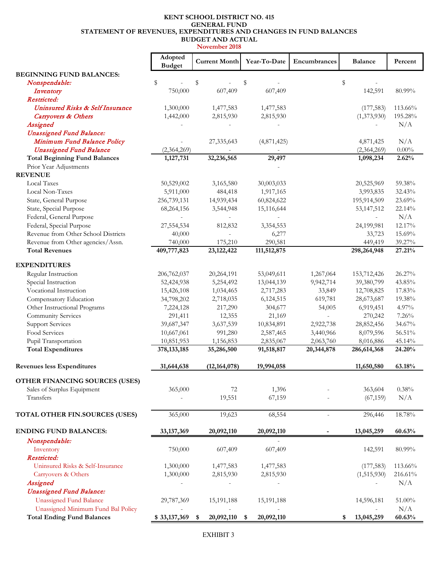#### **KENT SCHOOL DISTRICT NO. 415 GENERAL FUND STATEMENT OF REVENUES, EXPENDITURES AND CHANGES IN FUND BALANCES BUDGET AND ACTUAL**

**November 2018** 

|                                      | Adopted<br><b>Budget</b> | <b>Current Month</b> | Year-To-Date             | Encumbrances             | <b>Balance</b>           | Percent  |
|--------------------------------------|--------------------------|----------------------|--------------------------|--------------------------|--------------------------|----------|
| <b>BEGINNING FUND BALANCES:</b>      |                          |                      |                          |                          |                          |          |
| Nonspendable:                        | \$                       | \$                   | \$                       |                          | \$                       |          |
| Inventory                            | 750,000                  | 607,409              | 607,409                  |                          | 142,591                  | 80.99%   |
| Restricted:                          |                          |                      |                          |                          |                          |          |
| Uninsured Risks & Self Insurance     | 1,300,000                | 1,477,583            | 1,477,583                |                          | (177, 583)               | 113.66%  |
| Carryovers & Others                  | 1,442,000                | 2,815,930            | 2,815,930                |                          | (1,373,930)              | 195.28%  |
| Assigned                             |                          |                      |                          |                          |                          | N/A      |
| <b>Unassigned Fund Balance:</b>      |                          |                      |                          |                          |                          |          |
| Minimum Fund Balance Policy          |                          | 27,335,643           | (4,871,425)              |                          | 4,871,425                | N/A      |
| <b>Unassigned Fund Balance</b>       | (2,364,269)              |                      |                          |                          | (2,364,269)              | $0.00\%$ |
| <b>Total Beginning Fund Balances</b> | 1,127,731                | 32,236,565           | 29,497                   |                          | 1,098,234                | 2.62%    |
| Prior Year Adjustments               |                          |                      |                          |                          |                          |          |
| <b>REVENUE</b>                       |                          |                      |                          |                          |                          |          |
| Local Taxes                          | 50,529,002               | 3,165,580            | 30,003,033               |                          | 20,525,969               | 59.38%   |
| Local Non-Taxes                      | 5,911,000                | 484,418              | 1,917,165                |                          | 3,993,835                | 32.43%   |
| State, General Purpose               | 256,739,131              | 14,939,434           | 60,824,622               |                          | 195,914,509              | 23.69%   |
| State, Special Purpose               | 68,264,156               | 3,544,948            | 15,116,644               |                          | 53, 147, 512             | 22.14%   |
| Federal, General Purpose             |                          |                      | $\overline{\phantom{a}}$ |                          | $\overline{\phantom{a}}$ | N/A      |
| Federal, Special Purpose             | 27,554,534               | 812,832              | 3,354,553                |                          | 24,199,981               | 12.17%   |
| Revenue from Other School Districts  | 40,000                   |                      | 6,277                    |                          | 33,723                   | 15.69%   |
| Revenue from Other agencies/Assn.    | 740,000                  | 175,210              | 290,581                  |                          | 449,419                  | 39.27%   |
| <b>Total Revenues</b>                | 409,777,823              | 23, 122, 422         | 111,512,875              |                          | 298,264,948              | 27.21%   |
| <b>EXPENDITURES</b>                  |                          |                      |                          |                          |                          |          |
| Regular Instruction                  | 206,762,037              | 20,264,191           | 53,049,611               | 1,267,064                | 153,712,426              | 26.27%   |
| Special Instruction                  | 52,424,938               | 5,254,492            | 13,044,139               | 9,942,714                | 39,380,799               | 43.85%   |
| Vocational Instruction               | 15,426,108               | 1,034,465            | 2,717,283                | 33,849                   | 12,708,825               | 17.83%   |
| Compensatory Education               | 34,798,202               | 2,718,035            | 6,124,515                | 619,781                  | 28,673,687               | 19.38%   |
| Other Instructional Programs         | 7,224,128                | 217,290              | 304,677                  | 54,005                   | 6,919,451                | 4.97%    |
| Community Services                   | 291,411                  | 12,355               | 21,169                   |                          | 270,242                  | 7.26%    |
| <b>Support Services</b>              | 39,687,347               | 3,637,539            | 10,834,891               | 2,922,738                | 28,852,456               | 34.67%   |
| Food Services                        | 10,667,061               | 991,280              | 2,587,465                | 3,440,966                | 8,079,596                | 56.51%   |
| Pupil Transportation                 | 10,851,953               | 1,156,853            | 2,835,067                | 2,063,760                | 8,016,886                | 45.14%   |
| <b>Total Expenditures</b>            | 378, 133, 185            | 35,286,500           | 91,518,817               | 20,344,878               | 286,614,368              | 24.20%   |
| <b>Revenues less Expenditures</b>    | 31,644,638               | (12, 164, 078)       | 19,994,058               |                          | 11,650,580               | 63.18%   |
|                                      |                          |                      |                          |                          |                          |          |
| OTHER FINANCING SOURCES (USES)       |                          |                      |                          |                          |                          |          |
| Sales of Surplus Equipment           | 365,000                  | 72                   | 1,396                    |                          | 363,604                  | 0.38%    |
| Transfers                            |                          | 19,551               | 67,159                   |                          | (67, 159)                | N/A      |
| TOTAL OTHER FIN.SOURCES (USES)       | 365,000                  | 19,623               | 68,554                   | $\overline{\phantom{a}}$ | 296,446                  | 18.78%   |
| <b>ENDING FUND BALANCES:</b>         | 33, 137, 369             | 20,092,110           | 20,092,110               |                          | 13,045,259               | 60.63%   |
| Nonspendable:                        |                          |                      |                          |                          |                          |          |
| Inventory                            | 750,000                  | 607,409              | 607,409                  |                          | 142,591                  | 80.99%   |
| Restricted:                          |                          |                      |                          |                          |                          |          |
| Uninsured Risks & Self-Insurance     | 1,300,000                | 1,477,583            | 1,477,583                |                          | (177, 583)               | 113.66%  |
| Carryovers & Others                  | 1,300,000                | 2,815,930            | 2,815,930                |                          | (1,515,930)              | 216.61%  |
| Assigned                             |                          |                      |                          |                          |                          | N/A      |
| <b>Unassigned Fund Balance:</b>      |                          |                      |                          |                          |                          |          |
| <b>Unassigned Fund Balance</b>       | 29,787,369               | 15, 191, 188         | 15,191,188               |                          | 14,596,181               | 51.00%   |
| Unassigned Minimum Fund Bal Policy   |                          |                      |                          |                          |                          | N/A      |
| <b>Total Ending Fund Balances</b>    | \$33,137,369             | 20,092,110<br>\$     | 20,092,110<br>\$         |                          | 13,045,259<br>\$         | 60.63%   |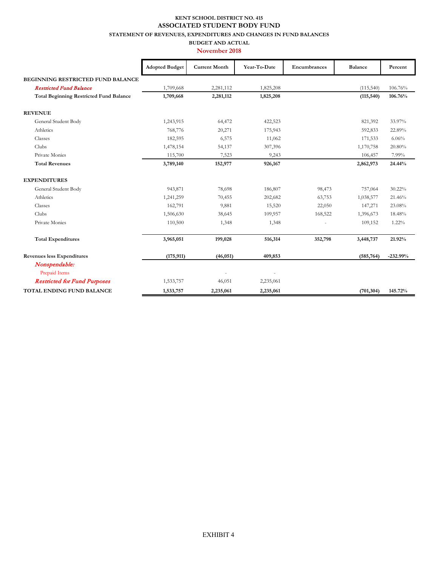#### **KENT SCHOOL DISTRICT NO. 415 ASSOCIATED STUDENT BODY FUND**

**STATEMENT OF REVENUES, EXPENDITURES AND CHANGES IN FUND BALANCES** 

**BUDGET AND ACTUAL November 2018** 

|                                                | <b>Adopted Budget</b> | <b>Current Month</b> | Year-To-Date | Encumbrances | <b>Balance</b> | Percent    |
|------------------------------------------------|-----------------------|----------------------|--------------|--------------|----------------|------------|
| BEGINNING RESTRICTED FUND BALANCE              |                       |                      |              |              |                |            |
| <b>Restricted Fund Balance</b>                 | 1,709,668             | 2,281,112            | 1,825,208    |              | (115,540)      | 106.76%    |
| <b>Total Beginning Restricted Fund Balance</b> | 1,709,668             | 2,281,112            | 1,825,208    |              | (115, 540)     | 106.76%    |
| <b>REVENUE</b>                                 |                       |                      |              |              |                |            |
| General Student Body                           | 1,243,915             | 64,472               | 422,523      |              | 821,392        | 33.97%     |
| Athletics                                      | 768,776               | 20,271               | 175,943      |              | 592,833        | 22.89%     |
| Classes                                        | 182,595               | 6,575                | 11,062       |              | 171,533        | 6.06%      |
| Clubs                                          | 1,478,154             | 54,137               | 307,396      |              | 1,170,758      | 20.80%     |
| Private Monies                                 | 115,700               | 7,523                | 9,243        |              | 106,457        | 7.99%      |
| <b>Total Revenues</b>                          | 3,789,140             | 152,977              | 926,167      |              | 2,862,973      | 24.44%     |
| <b>EXPENDITURES</b>                            |                       |                      |              |              |                |            |
| General Student Body                           | 943,871               | 78,698               | 186,807      | 98,473       | 757,064        | 30.22%     |
| Athletics                                      | 1,241,259             | 70,455               | 202,682      | 63,753       | 1,038,577      | 21.46%     |
| Classes                                        | 162,791               | 9,881                | 15,520       | 22,050       | 147,271        | 23.08%     |
| <b>Clubs</b>                                   | 1,506,630             | 38,645               | 109,957      | 168,522      | 1,396,673      | 18.48%     |
| Private Monies                                 | 110,500               | 1,348                | 1,348        |              | 109,152        | 1.22%      |
| <b>Total Expenditures</b>                      | 3,965,051             | 199,028              | 516,314      | 352,798      | 3,448,737      | 21.92%     |
| <b>Revenues less Expenditures</b>              | (175, 911)            | (46, 051)            | 409,853      |              | (585, 764)     | $-232.99%$ |
| Nonspendable:                                  |                       |                      |              |              |                |            |
| Prepaid Items                                  |                       |                      |              |              |                |            |
| <b>Restricted for Fund Purposes</b>            | 1,533,757             | 46,051               | 2,235,061    |              |                |            |
| TOTAL ENDING FUND BALANCE                      | 1,533,757             | 2,235,061            | 2,235,061    |              | (701, 304)     | 145.72%    |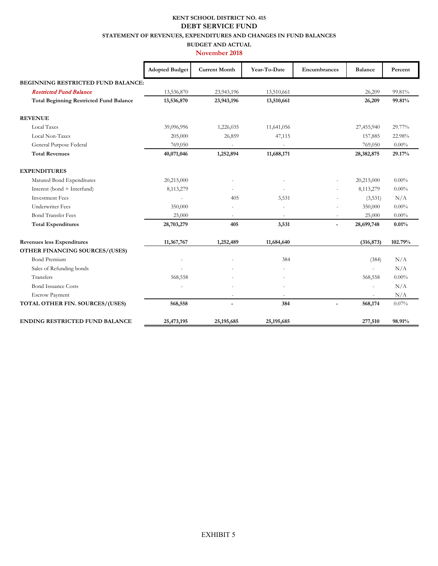### **KENT SCHOOL DISTRICT NO. 415 DEBT SERVICE FUND**

**STATEMENT OF REVENUES, EXPENDITURES AND CHANGES IN FUND BALANCES** 

#### **BUDGET AND ACTUAL November 2018**

|                                                | <b>Adopted Budget</b> | <b>Current Month</b> | Year-To-Date             | Encumbrances   | <b>Balance</b>           | Percent  |
|------------------------------------------------|-----------------------|----------------------|--------------------------|----------------|--------------------------|----------|
| <b>BEGINNING RESTRICTED FUND BALANCE:</b>      |                       |                      |                          |                |                          |          |
| <b>Restricted Fund Balance</b>                 | 13,536,870            | 23,943,196           | 13,510,661               |                | 26,209                   | 99.81%   |
| <b>Total Beginning Restricted Fund Balance</b> | 13,536,870            | 23,943,196           | 13,510,661               |                | 26,209                   | 99.81%   |
| <b>REVENUE</b>                                 |                       |                      |                          |                |                          |          |
| Local Taxes                                    | 39,096,996            | 1,226,035            | 11,641,056               |                | 27,455,940               | 29.77%   |
| Local Non-Taxes                                | 205,000               | 26,859               | 47,115                   |                | 157,885                  | 22.98%   |
| General Purpose Federal                        | 769,050               |                      |                          |                | 769,050                  | $0.00\%$ |
| <b>Total Revenues</b>                          | 40,071,046            | 1,252,894            | 11,688,171               |                | 28,382,875               | 29.17%   |
| <b>EXPENDITURES</b>                            |                       |                      |                          |                |                          |          |
| Matured Bond Expenditures                      | 20,215,000            |                      |                          |                | 20,215,000               | $0.00\%$ |
| Interest (bond + Interfund)                    | 8,113,279             |                      |                          |                | 8,113,279                | $0.00\%$ |
| <b>Investment Fees</b>                         |                       | 405                  | 3,531                    |                | (3,531)                  | N/A      |
| <b>Underwriter Fees</b>                        | 350,000               |                      |                          |                | 350,000                  | $0.00\%$ |
| <b>Bond Transfer Fees</b>                      | 25,000                |                      | ٠                        | ٠              | 25,000                   | $0.00\%$ |
| <b>Total Expenditures</b>                      | 28,703,279            | 405                  | 3,531                    | $\overline{a}$ | 28,699,748               | 0.01%    |
| <b>Revenues less Expenditures</b>              | 11,367,767            | 1,252,489            | 11,684,640               |                | (316, 873)               | 102.79%  |
| OTHER FINANCING SOURCES/(USES)                 |                       |                      |                          |                |                          |          |
| <b>Bond Premium</b>                            | ÷,                    |                      | 384                      |                | (384)                    | N/A      |
| Sales of Refunding bonds                       |                       |                      |                          |                |                          | N/A      |
| Transfers                                      | 568,558               |                      |                          |                | 568,558                  | $0.00\%$ |
| <b>Bond Issuance Costs</b>                     |                       |                      |                          |                | ٠                        | N/A      |
| <b>Escrow Payment</b>                          |                       | ٠                    | $\overline{\phantom{a}}$ |                | $\overline{\phantom{a}}$ | N/A      |
| TOTAL OTHER FIN. SOURCES/(USES)                | 568,558               |                      | 384                      |                | 568,174                  | 0.07%    |
| <b>ENDING RESTRICTED FUND BALANCE</b>          | 25,473,195            | 25,195,685           | 25, 195, 685             |                | 277,510                  | 98.91%   |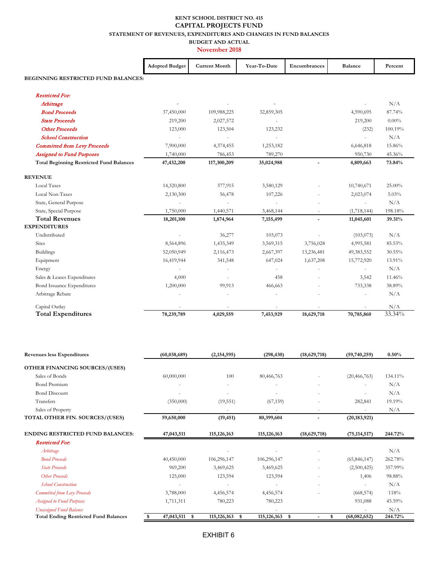#### **KENT SCHOOL DISTRICT NO. 415 CAPITAL PROJECTS FUND STATEMENT OF REVENUES, EXPENDITURES AND CHANGES IN FUND BALANCES**

**BUDGET AND ACTUAL** 

**November 2018** 

|                                                 | <b>Adopted Budget</b> | <b>Current Month</b>     | Year-To-Date | Encumbrances   | <b>Balance</b> | Percent   |
|-------------------------------------------------|-----------------------|--------------------------|--------------|----------------|----------------|-----------|
| BEGINNING RESTRICTED FUND BALANCES:             |                       |                          |              |                |                |           |
| <b>Restricted For:</b>                          |                       |                          |              |                |                |           |
| Arbitrage                                       |                       |                          |              |                |                | N/A       |
| <b>Bond Proceeds</b>                            | 37,450,000            | 109,988,225              | 32,859,305   |                | 4,590,695      | 87.74%    |
| <b>State Proceeds</b>                           | 219,200               | 2,027,572                |              |                | 219,200        | $0.00\%$  |
| <b>Other Proceeds</b>                           | 123,000               | 123,504                  | 123,232      |                | (232)          | 100.19%   |
| <b>School Construction</b>                      |                       |                          | ä,           |                |                | N/A       |
| <b>Committed from Levy Proceeds</b>             | 7,900,000             | 4,374,455                | 1,253,182    |                | 6,646,818      | 15.86%    |
| <b>Assigned to Fund Purposes</b>                | 1,740,000             | 786,453                  | 789,270      |                | 950,730        | 45.36%    |
| <b>Total Beginning Restricted Fund Balances</b> | 47,432,200            | 117,300,209              | 35,024,988   |                | 4,809,663      | 73.84%    |
| <b>REVENUE</b>                                  |                       |                          |              |                |                |           |
| <b>Local Taxes</b>                              | 14,320,800            | 377,915                  | 3,580,129    |                | 10,740,671     | 25.00%    |
| Local Non-Taxes                                 | 2,130,300             | 56,478                   | 107,226      |                | 2,023,074      | 5.03%     |
| State, General Purpose                          |                       | $\overline{\phantom{a}}$ |              |                | ä,             | N/A       |
| State, Special Purpose                          | 1,750,000             | 1,440,571                | 3,468,144    |                | (1,718,144)    | 198.18%   |
| <b>Total Revenues</b>                           | 18,201,100            | 1,874,964                | 7,155,499    | $\blacksquare$ | 11,045,601     | 39.31%    |
| <b>EXPENDITURES</b>                             |                       |                          |              |                |                |           |
| Undistributed                                   |                       | 36,277                   | 103,073      |                | (103, 073)     | N/A       |
| <b>Sites</b>                                    | 8,564,896             | 1,435,349                | 3,569,315    | 3,756,028      | 4,995,581      | 85.53%    |
| <b>Buildings</b>                                | 52,050,949            | 2,116,473                | 2,667,397    | 13,236,481     | 49,383,552     | $30.55\%$ |
| Equipment                                       | 16,419,944            | 341,548                  | 647,024      | 1,637,208      | 15,772,920     | 13.91%    |
| Energy                                          |                       |                          |              |                |                | N/A       |
| Sales & Leases Expenditures                     | 4,000                 |                          | 458          |                | 3,542          | 11.46%    |
| Bond Issuance Expenditures                      | 1,200,000             | 99,913                   | 466,663      |                | 733,338        | 38.89%    |
| Arbitrage Rebate                                |                       |                          |              |                |                | N/A       |
| Capital Outlay                                  |                       |                          |              |                |                | N/A       |
| <b>Total Expenditures</b>                       | 78,239,789            | 4,029,559                | 7,453,929    | 18,629,718     | 70,785,860     | 33.34%    |

| <b>Revenues less Expenditures</b>            | (60, 038, 689)   | (2,154,595)         | (298, 430)           | (18,629,718)         | (59,740,259)   | $0.50\%$ |
|----------------------------------------------|------------------|---------------------|----------------------|----------------------|----------------|----------|
| <b>OTHER FINANCING SOURCES/(USES)</b>        |                  |                     |                      |                      |                |          |
| Sales of Bonds                               | 60,000,000       | 100                 | 80,466,763           |                      | (20, 466, 763) | 134.11%  |
| <b>Bond Premium</b>                          |                  | ٠                   | ÷                    | ٠                    |                | N/A      |
| <b>Bond Discount</b>                         |                  |                     |                      |                      |                | N/A      |
| Transfers                                    | (350,000)        | (19, 551)           | (67, 159)            |                      | 282,841        | 19.19%   |
| Sales of Property                            |                  |                     |                      | ٠                    |                | N/A      |
| TOTAL OTHER FIN. SOURCES/(USES)              | 59,650,000       | (19, 451)           | 80,399,604           |                      | (20, 183, 921) |          |
| <b>ENDING RESTRICTED FUND BALANCES:</b>      | 47,043,511       | 115, 126, 163       | 115, 126, 163        | (18,629,718)         | (75, 114, 517) | 244.72%  |
| <b>Restricted For:</b>                       |                  |                     |                      |                      |                |          |
| Arbitrage                                    |                  |                     |                      |                      |                | N/A      |
| <b>Bond Proceeds</b>                         | 40,450,000       | 106,296,147         | 106,296,147          |                      | (65, 846, 147) | 262.78%  |
| <b>State Proceeds</b>                        | 969,200          | 3,469,625           | 3,469,625            |                      | (2,500,425)    | 357.99%  |
| Other Proceeds                               | 125,000          | 123,594             | 123,594              |                      | 1,406          | 98.88%   |
| <b>School Construction</b>                   |                  |                     |                      |                      |                | N/A      |
| Committed from Levy Proceeds                 | 3,788,000        | 4,456,574           | 4,456,574            |                      | (668, 574)     | 118%     |
| <b>Assigned to Fund Purposes</b>             | 1,711,311        | 780,223             | 780,223              |                      | 931,088        | 45.59%   |
| <b>Unassigned Fund Balance</b>               |                  |                     |                      |                      |                | N/A      |
| <b>Total Ending Restricted Fund Balances</b> | 47,043,511<br>\$ | 115, 126, 163<br>\$ | 115, 126, 163<br>-\$ | \$<br>$\blacksquare$ | (68,082,652)   | 244.72%  |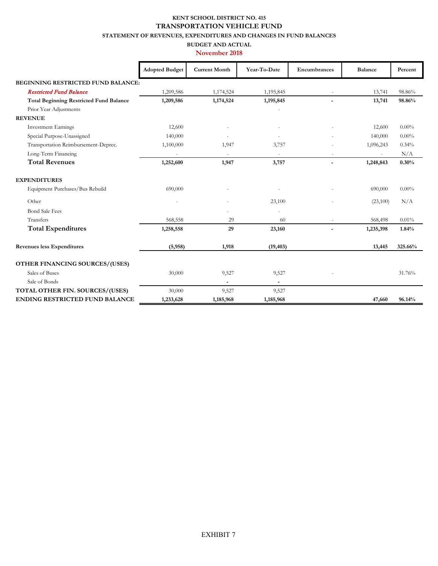#### **KENT SCHOOL DISTRICT NO. 415 TRANSPORTATION VEHICLE FUND**

**STATEMENT OF REVENUES, EXPENDITURES AND CHANGES IN FUND BALANCES** 

#### **BUDGET AND ACTUAL November 2018**

|                                                | <b>Adopted Budget</b> | <b>Current Month</b>     | Year-To-Date   | Encumbrances             | <b>Balance</b> | Percent  |
|------------------------------------------------|-----------------------|--------------------------|----------------|--------------------------|----------------|----------|
| <b>BEGINNING RESTRICTED FUND BALANCE:</b>      |                       |                          |                |                          |                |          |
| <b>Restricted Fund Balance</b>                 | 1,209,586             | 1,174,524                | 1,195,845      |                          | 13,741         | 98.86%   |
| <b>Total Beginning Restricted Fund Balance</b> | 1,209,586             | 1,174,524                | 1,195,845      | $\overline{\phantom{a}}$ | 13,741         | 98.86%   |
| Prior Year Adjustments                         |                       |                          |                |                          |                |          |
| <b>REVENUE</b>                                 |                       |                          |                |                          |                |          |
| <b>Investment Earnings</b>                     | 12,600                |                          |                |                          | 12,600         | $0.00\%$ |
| Special Purpose-Unassigned                     | 140,000               |                          |                |                          | 140,000        | $0.00\%$ |
| Transportation Reimbursement-Deprec.           | 1,100,000             | 1,947                    | 3,757          |                          | 1,096,243      | 0.34%    |
| Long-Term Financing                            |                       |                          |                |                          | ÷.             | N/A      |
| <b>Total Revenues</b>                          | 1,252,600             | 1,947                    | 3,757          | $\overline{\phantom{a}}$ | 1,248,843      | 0.30%    |
| <b>EXPENDITURES</b>                            |                       |                          |                |                          |                |          |
| Equipment Purchases/Bus Rebuild                | 690,000               |                          |                |                          | 690,000        | $0.00\%$ |
| Other                                          |                       |                          | 23,100         |                          | (23,100)       | N/A      |
| <b>Bond Sale Fees</b>                          |                       |                          |                |                          |                |          |
| Transfers                                      | 568,558               | 29                       | 60             |                          | 568,498        | 0.01%    |
| <b>Total Expenditures</b>                      | 1,258,558             | 29                       | 23,160         |                          | 1,235,398      | 1.84%    |
| <b>Revenues less Expenditures</b>              | (5,958)               | 1,918                    | (19, 403)      |                          | 13,445         | 325.66%  |
| OTHER FINANCING SOURCES/(USES)                 |                       |                          |                |                          |                |          |
| Sales of Buses                                 | 30,000                | 9,527                    | 9,527          |                          |                | 31.76%   |
| Sale of Bonds                                  |                       | $\overline{\phantom{0}}$ | $\blacksquare$ |                          |                |          |
| TOTAL OTHER FIN. SOURCES/(USES)                | 30,000                | 9,527                    | 9,527          |                          |                |          |
| <b>ENDING RESTRICTED FUND BALANCE</b>          | 1,233,628             | 1,185,968                | 1,185,968      |                          | 47,660         | 96.14%   |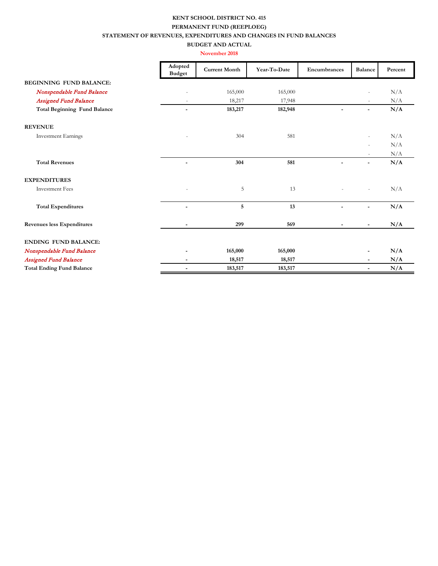#### **KENT SCHOOL DISTRICT NO. 415 PERMANENT FUND (REEPLOEG) STATEMENT OF REVENUES, EXPENDITURES AND CHANGES IN FUND BALANCES BUDGET AND ACTUAL**

#### **November 2018**

|                                     | Adopted<br><b>Budget</b> | <b>Current Month</b> | Year-To-Date | Encumbrances             | <b>Balance</b>           | Percent |
|-------------------------------------|--------------------------|----------------------|--------------|--------------------------|--------------------------|---------|
| <b>BEGINNING FUND BALANCE:</b>      |                          |                      |              |                          |                          |         |
| Nonspendable Fund Balance           |                          | 165,000              | 165,000      |                          | ٠                        | N/A     |
| <b>Assigned Fund Balance</b>        | $\overline{\phantom{a}}$ | 18,217               | 17,948       |                          | ۰                        | N/A     |
| <b>Total Beginning Fund Balance</b> | $\overline{\phantom{a}}$ | 183,217              | 182,948      |                          | $\overline{\phantom{0}}$ | N/A     |
| <b>REVENUE</b>                      |                          |                      |              |                          |                          |         |
| <b>Investment Earnings</b>          |                          | 304                  | 581          |                          | ٠                        | N/A     |
|                                     |                          |                      |              |                          |                          | N/A     |
|                                     |                          |                      |              |                          |                          | N/A     |
| <b>Total Revenues</b>               | ÷                        | 304                  | 581          | $\overline{a}$           | -                        | N/A     |
| <b>EXPENDITURES</b>                 |                          |                      |              |                          |                          |         |
| <b>Investment Fees</b>              |                          | 5                    | 13           |                          | $\overline{\phantom{a}}$ | N/A     |
| <b>Total Expenditures</b>           | $\overline{a}$           | 5                    | 13           | $\overline{\phantom{0}}$ | $\overline{\phantom{0}}$ | N/A     |
| Revenues less Expenditures          | $\overline{\phantom{a}}$ | 299                  | 569          |                          | $\overline{\phantom{a}}$ | N/A     |
| <b>ENDING FUND BALANCE:</b>         |                          |                      |              |                          |                          |         |
| Nonspendable Fund Balance           |                          | 165,000              | 165,000      |                          |                          | N/A     |
| <b>Assigned Fund Balance</b>        | ۰.                       | 18,517               | 18,517       |                          | -                        | N/A     |
| <b>Total Ending Fund Balance</b>    | $\overline{\phantom{a}}$ | 183,517              | 183,517      |                          | $\overline{\phantom{a}}$ | N/A     |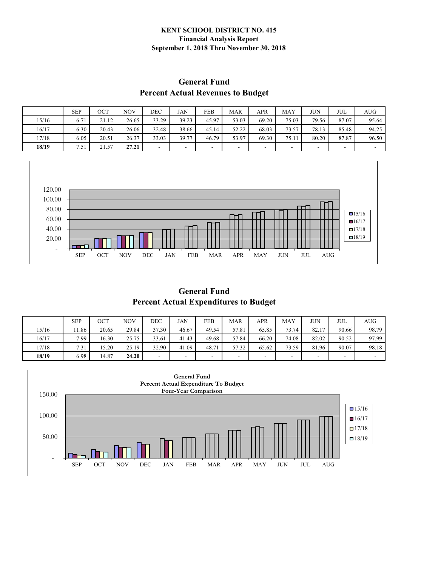#### **KENT SCHOOL DISTRICT NO. 415 Financial Analysis Report September 1, 2018 Thru November 30, 2018**

#### **General Fund Percent Actual Revenues to Budget**

|       | <b>SEP</b> | ост   | <b>NOV</b> | DEC   | JAN                      | FEB   | <b>MAR</b>               | APR   | <b>MAY</b> | <b>JUN</b> | JUL   | AUG   |
|-------|------------|-------|------------|-------|--------------------------|-------|--------------------------|-------|------------|------------|-------|-------|
| 15/16 | 6.71       | 21.12 | 26.65      | 33.29 | 39.23                    | 45.97 | 53.03                    | 69.20 | 75.03      | 79.56      | 87.07 | 95.64 |
| 16/17 | 6.30       | 20.43 | 26.06      | 32.48 | 38.66                    | 45.14 | 52.22                    | 68.03 | 73.57      | 78.13      | 85.48 | 94.25 |
| 17/18 | 6.05       | 20.51 | 26.37      | 33.03 | 39.77                    | 46.79 | 53.97                    | 69.30 | 75.11      | 80.20      | 87.87 | 96.50 |
| 18/19 | 7.51       | 21.57 | 27.21      | ۰     | $\overline{\phantom{a}}$ | ۰     | $\overline{\phantom{a}}$ |       |            |            | -     | ۰     |



**General Fund Percent Actual Expenditures to Budget** 

|       | <b>SEP</b> | OCT   | <b>NOV</b> | DEC   | <b>JAN</b> | <b>FEB</b> | <b>MAR</b> | <b>APR</b> | <b>MAY</b> | JUΝ   | JUL   | <b>AUG</b> |
|-------|------------|-------|------------|-------|------------|------------|------------|------------|------------|-------|-------|------------|
| 15/16 | 1.86       | 20.65 | 29.84      | 37.30 | 46.67      | 49.54      | 57.81      | 65.85      | 73.74      | 82.17 | 90.66 | 98.79      |
| 16/17 | 7.99       | 16.30 | 25.75      | 33.61 | 41.43      | 49.68      | 57.84      | 66.20      | 74.08      | 82.02 | 90.52 | 97.99      |
| 17/18 | 7.31       | 15.20 | 25.19      | 32.90 | 41.09      | 48.71      | 57.32      | 65.62      | 73.59      | 81.96 | 90.07 | 98.18      |
| 18/19 | 6.98       | 14.87 | 24.20      | -     |            | -          | ۰          | ۰          | -          |       | -     |            |

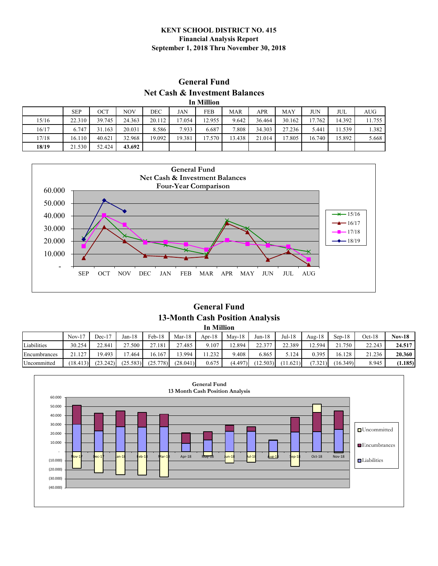#### **KENT SCHOOL DISTRICT NO. 415 Financial Analysis Report September 1, 2018 Thru November 30, 2018**

#### **General Fund Net Cash & Investment Balances In Million**

|       | ти минюп   |        |        |        |            |        |            |        |            |            |        |        |  |  |
|-------|------------|--------|--------|--------|------------|--------|------------|--------|------------|------------|--------|--------|--|--|
|       | <b>SEP</b> | ост    | NOV    | DEC    | <b>JAN</b> | FEB    | <b>MAR</b> | APR    | <b>MAY</b> | <b>JUN</b> | JUL    | AUG    |  |  |
| 15/16 | 22.310     | 39.745 | 24.363 | 20.112 | 17.054     | 12.955 | 9.642      | 36.464 | 30.162     | 17.762     | 14.392 | 11.755 |  |  |
| 16/17 | 6.747      | 31.163 | 20.031 | 8.586  | 7.933      | 6.687  | 7.808      | 34.303 | 27.236     | 5.441      | 1.539  | 1.382  |  |  |
| 17/18 | 16.110     | 40.621 | 32.968 | 19.092 | 19.381     | 17.570 | 13.438     | 21.014 | 17.805     | 16.740     | 15.892 | 5.668  |  |  |
| 18/19 | 21.530     | 52.424 | 43.692 |        |            |        |            |        |            |            |        |        |  |  |



**General Fund 13-Month Cash Position Analysis In Million** 

|              | $Nov-17$ | $Dec-17$ | $Jan-18$ | Feb-18   | Mar-18   | Apr- $18$ | $Mav-18$ | $Jun-18$ | Jul-18   | Aug- $18$ | $Sen-18$ | $Oct-18$ | <b>Nov-18</b> |
|--------------|----------|----------|----------|----------|----------|-----------|----------|----------|----------|-----------|----------|----------|---------------|
| Liabilities  | 30.254   | 22.841   | 27.500   | 27.181   | 27.485   | 9.107     | 12.894   | 22.377   | 22.389   | 12.594    | 21.750   | 22.243   | 24.517        |
| Encumbrances | 21.127   | 9.493    | 17.464   | 16.167   | 13.994   | 1.232     | 9.408    | 6.865    | 5.124    | 0.395     | 16.128   | 21.236   | 20.360        |
| Uncommitted  | (18.413) | (23.242) | (25.583) | (25.778) | (28.041) | 0.675     | (4.497)  | (12.503) | (11.621) | (7.321)   | (16.349) | 8.945    | (1.185)       |